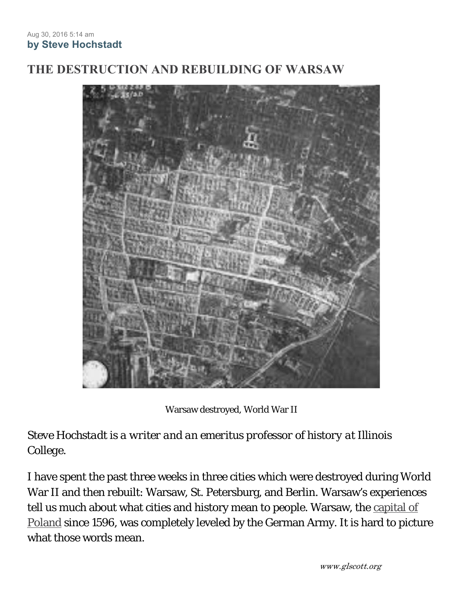## **THE DESTRUCTION AND REBUILDING OF WARSAW**



Warsaw destroyed, World War II

*Steve Hochstadt is a writer and an emeritus professor of history at Illinois College.* 

I have spent the past three weeks in three cities which were destroyed during World War II and then rebuilt: Warsaw, St. Petersburg, and Berlin. Warsaw's experiences tell us much about what cities and history mean to people. Warsaw, the capital of Poland since 1596, was completely leveled by the German Army. It is hard to picture what those words mean.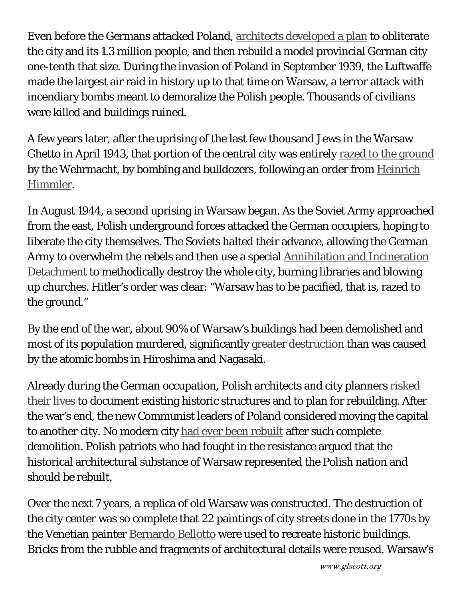Even before the Germans attacked Poland, architects developed a plan to obliterate the city and its 1.3 million people, and then rebuild a model provincial German city one-tenth that size. During the invasion of Poland in September 1939, the Luftwaffe made the largest air raid in history up to that time on Warsaw, a terror attack with incendiary bombs meant to demoralize the Polish people. Thousands of civilians were killed and buildings ruined.

A few years later, after the uprising of the last few thousand Jews in the Warsaw Ghetto in April 1943, that portion of the central city was entirely razed to the ground by the Wehrmacht, by bombing and bulldozers, following an order from Heinrich Himmler.

In August 1944, a second uprising in Warsaw began. As the Soviet Army approached from the east, Polish underground forces attacked the German occupiers, hoping to liberate the city themselves. The Soviets halted their advance, allowing the German Army to overwhelm the rebels and then use a special Annihilation and Incineration Detachment to methodically destroy the whole city, burning libraries and blowing up churches. Hitler's order was clear: "Warsaw has to be pacified, that is, razed to the ground."

By the end of the war, about 90% of Warsaw's buildings had been demolished and most of its population murdered, significantly greater destruction than was caused by the atomic bombs in Hiroshima and Nagasaki.

Already during the German occupation, Polish architects and city planners risked their lives to document existing historic structures and to plan for rebuilding. After the war's end, the new Communist leaders of Poland considered moving the capital to another city. No modern city had ever been rebuilt after such complete demolition. Polish patriots who had fought in the resistance argued that the historical architectural substance of Warsaw represented the Polish nation and should be rebuilt.

Over the next 7 years, a replica of old Warsaw was constructed. The destruction of the city center was so complete that 22 paintings of city streets done in the 1770s by the Venetian painter **Bernardo Bellotto** were used to recreate historic buildings. Bricks from the rubble and fragments of architectural details were reused. Warsaw's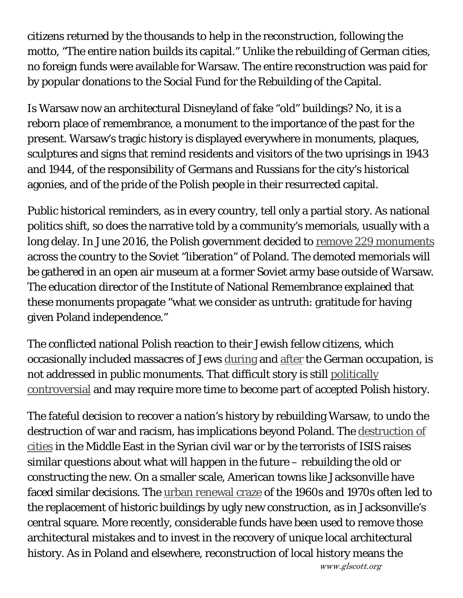citizens returned by the thousands to help in the reconstruction, following the motto, "The entire nation builds its capital." Unlike the rebuilding of German cities, no foreign funds were available for Warsaw. The entire reconstruction was paid for by popular donations to the Social Fund for the Rebuilding of the Capital.

Is Warsaw now an architectural Disneyland of fake "old" buildings? No, it is a reborn place of remembrance, a monument to the importance of the past for the present. Warsaw's tragic history is displayed everywhere in monuments, plaques, sculptures and signs that remind residents and visitors of the two uprisings in 1943 and 1944, of the responsibility of Germans and Russians for the city's historical agonies, and of the pride of the Polish people in their resurrected capital.

Public historical reminders, as in every country, tell only a partial story. As national politics shift, so does the narrative told by a community's memorials, usually with a long delay. In June 2016, the Polish government decided to remove 229 monuments across the country to the Soviet "liberation" of Poland. The demoted memorials will be gathered in an open air museum at a former Soviet army base outside of Warsaw. The education director of the Institute of National Remembrance explained that these monuments propagate "what we consider as untruth: gratitude for having given Poland independence."

The conflicted national Polish reaction to their Jewish fellow citizens, which occasionally included massacres of Jews during and after the German occupation, is not addressed in public monuments. That difficult story is still politically controversial and may require more time to become part of accepted Polish history.

The fateful decision to recover a nation's history by rebuilding Warsaw, to undo the destruction of war and racism, has implications beyond Poland. The destruction of cities in the Middle East in the Syrian civil war or by the terrorists of ISIS raises similar questions about what will happen in the future – rebuilding the old or constructing the new. On a smaller scale, American towns like Jacksonville have faced similar decisions. The urban renewal craze of the 1960s and 1970s often led to the replacement of historic buildings by ugly new construction, as in Jacksonville's central square. More recently, considerable funds have been used to remove those architectural mistakes and to invest in the recovery of unique local architectural history. As in Poland and elsewhere, reconstruction of local history means the

www.glscott.org